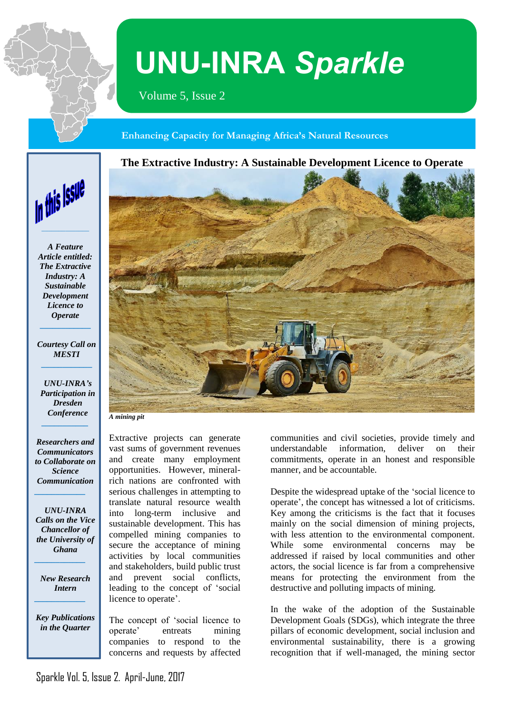

# **UNU-INRA** *Sparkle*

Volume 5, Issue 2

 **Enhancing Capacity for Managing Africa's Natural Resources**





*A Feature Article entitled: The Extractive Industry: A Sustainable Development Licence to Operate* 

*Courtesy Call on MESTI* **\_\_\_\_\_\_\_\_\_\_\_\_**

**\_\_\_\_\_\_\_\_\_\_\_\_**

*UNU-INRA's Participation in Dresden Conference \_\_\_\_\_\_\_\_\_\_\_*

*Researchers and Communicators to Collaborate on Science Communication*

*\_\_\_\_\_\_\_\_\_\_\_\_*

*UNU-INRA Calls on the Vice Chancellor of the University of Ghana*

*New Research Intern \_\_\_\_\_\_\_\_\_\_\_\_*

*\_\_\_\_\_\_\_\_\_\_\_\_*

*Key Publications in the Quarter* 

Extractive projects can generate vast sums of government revenues and create many employment opportunities. However, mineralrich nations are confronted with serious challenges in attempting to translate natural resource wealth into long-term inclusive and sustainable development. This has compelled mining companies to secure the acceptance of mining activities by local communities and stakeholders, build public trust and prevent social conflicts, leading to the concept of 'social licence to operate'.

The concept of 'social licence to operate' entreats mining companies to respond to the concerns and requests by affected



*A mining pit*

communities and civil societies, provide timely and understandable information, deliver on their commitments, operate in an honest and responsible manner, and be accountable.

Despite the widespread uptake of the 'social licence to operate', the concept has witnessed a lot of criticisms. Key among the criticisms is the fact that it focuses mainly on the social dimension of mining projects, with less attention to the environmental component. While some environmental concerns may be addressed if raised by local communities and other actors, the social licence is far from a comprehensive means for protecting the environment from the destructive and polluting impacts of mining.

In the wake of the adoption of the Sustainable Development Goals (SDGs), which integrate the three pillars of economic development, social inclusion and environmental sustainability, there is a growing recognition that if well-managed, the mining sector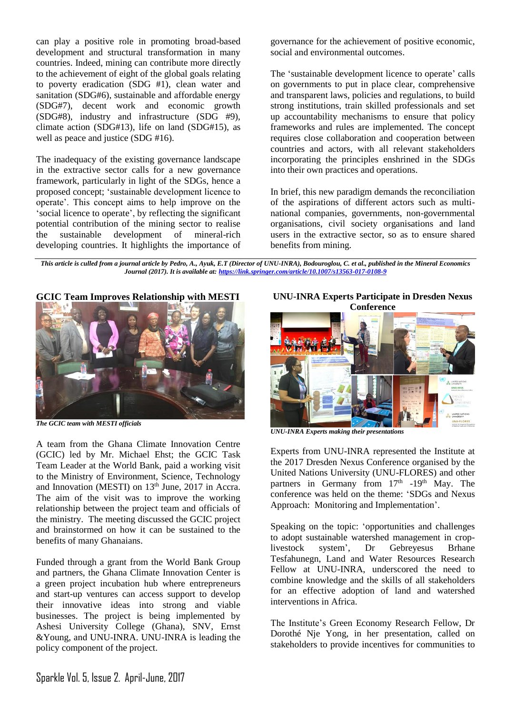can play a positive role in promoting broad-based development and structural transformation in many countries. Indeed, mining can contribute more directly to the achievement of eight of the global goals relating to poverty eradication (SDG #1), clean water and sanitation (SDG#6), sustainable and affordable energy (SDG#7), decent work and economic growth (SDG#8), industry and infrastructure (SDG #9), climate action (SDG#13), life on land (SDG#15), as well as peace and justice (SDG #16).

The inadequacy of the existing governance landscape in the extractive sector calls for a new governance framework, particularly in light of the SDGs, hence a proposed concept; 'sustainable development licence to operate'. This concept aims to help improve on the 'social licence to operate', by reflecting the significant potential contribution of the mining sector to realise the sustainable development of mineral-rich developing countries. It highlights the importance of governance for the achievement of positive economic, social and environmental outcomes.

The 'sustainable development licence to operate' calls on governments to put in place clear, comprehensive and transparent laws, policies and regulations, to build strong institutions, train skilled professionals and set up accountability mechanisms to ensure that policy frameworks and rules are implemented. The concept requires close collaboration and cooperation between countries and actors, with all relevant stakeholders incorporating the principles enshrined in the SDGs into their own practices and operations.

In brief, this new paradigm demands the reconciliation of the aspirations of different actors such as multinational companies, governments, non-governmental organisations, civil society organisations and land users in the extractive sector, so as to ensure shared benefits from mining.

*This article is culled from a journal article by Pedro, A., Ayuk, E.T (Director of UNU-INRA), Bodouroglou, C. et al., published in the Mineral Economics Journal (2017). It is available at[: https://link.springer.com/article/10.1007/s13563-017-0108-9](https://link.springer.com/article/10.1007/s13563-017-0108-9)*

**GCIC Team Improves Relationship with MESTI**



*The GCIC team with MESTI officials*

A team from the Ghana Climate Innovation Centre (GCIC) led by Mr. Michael Ehst; the GCIC Task Team Leader at the World Bank, paid a working visit to the Ministry of Environment, Science, Technology and Innovation (MESTI) on  $13<sup>th</sup>$  June, 2017 in Accra. The aim of the visit was to improve the working relationship between the project team and officials of the ministry. The meeting discussed the GCIC project and brainstormed on how it can be sustained to the benefits of many Ghanaians.

Funded through a grant from the World Bank Group and partners, the Ghana Climate Innovation Center is a green project incubation hub where entrepreneurs and start-up ventures can access support to develop their innovative ideas into strong and viable businesses. The project is being implemented by Ashesi University College (Ghana), SNV, Ernst &Young, and UNU-INRA. UNU-INRA is leading the policy component of the project.

**UNU-INRA Experts Participate in Dresden Nexus Conference**



*UNU-INRA Experts making their presentations*

Experts from UNU-INRA represented the Institute at the 2017 Dresden Nexus Conference organised by the United Nations University (UNU-FLORES) and other partners in Germany from  $17<sup>th</sup>$  -19<sup>th</sup> May. The conference was held on the theme: 'SDGs and Nexus Approach: Monitoring and Implementation'.

Speaking on the topic: 'opportunities and challenges to adopt sustainable watershed management in croplivestock system', Dr Gebreyesus Brhane Tesfahunegn, Land and Water Resources Research Fellow at UNU-INRA, underscored the need to combine knowledge and the skills of all stakeholders for an effective adoption of land and watershed interventions in Africa.

The Institute's Green Economy Research Fellow, Dr Dorothé Nje Yong, in her presentation, called on stakeholders to provide incentives for communities to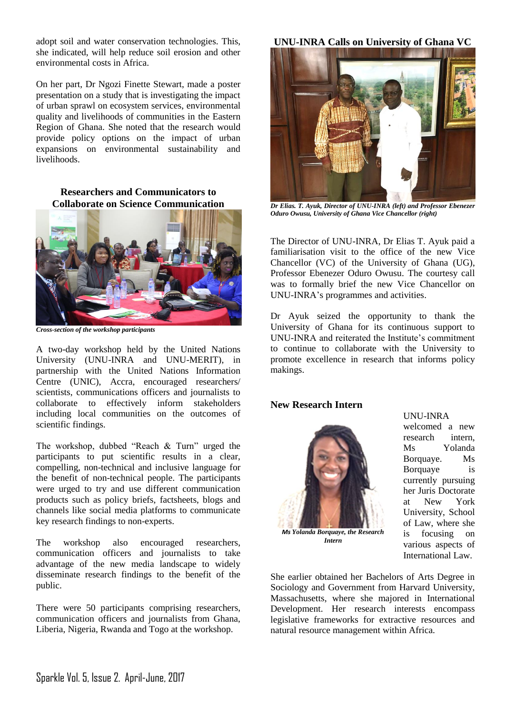adopt soil and water conservation technologies. This, she indicated, will help reduce soil erosion and other environmental costs in Africa.

On her part, Dr Ngozi Finette Stewart, made a poster presentation on a study that is investigating the impact of urban sprawl on ecosystem services, environmental quality and livelihoods of communities in the Eastern Region of Ghana. She noted that the research would provide policy options on the impact of urban expansions on environmental sustainability and livelihoods.

## **Researchers and Communicators to Collaborate on Science Communication**



*Cross-section of the workshop participants*

A two-day workshop held by the United Nations University (UNU-INRA and UNU-MERIT), in partnership with the United Nations Information Centre (UNIC), Accra, encouraged researchers/ scientists, communications officers and journalists to collaborate to effectively inform stakeholders including local communities on the outcomes of scientific findings.

The workshop, dubbed "Reach & Turn" urged the participants to put scientific results in a clear, compelling, non-technical and inclusive language for the benefit of non-technical people. The participants were urged to try and use different communication products such as policy briefs, factsheets, blogs and channels like social media platforms to communicate key research findings to non-experts.

The workshop also encouraged researchers, communication officers and journalists to take advantage of the new media landscape to widely disseminate research findings to the benefit of the public.

There were 50 participants comprising researchers, communication officers and journalists from Ghana, Liberia, Nigeria, Rwanda and Togo at the workshop.

**UNU-INRA Calls on University of Ghana VC**



*Dr Elias. T. Ayuk, Director of UNU-INRA (left) and Professor Ebenezer Oduro Owusu, University of Ghana Vice Chancellor (right)*

The Director of UNU-INRA, Dr Elias T. Ayuk paid a familiarisation visit to the office of the new Vice Chancellor (VC) of the University of Ghana (UG), Professor Ebenezer Oduro Owusu. The courtesy call was to formally brief the new Vice Chancellor on UNU-INRA's programmes and activities.

Dr Ayuk seized the opportunity to thank the University of Ghana for its continuous support to UNU-INRA and reiterated the Institute's commitment to continue to collaborate with the University to promote excellence in research that informs policy makings.

## **New Research Intern**



*Ms Yolanda Borquaye, the Research Intern*

UNU-INRA

welcomed a new research intern, Ms Yolanda Borquaye. Ms Borquaye is currently pursuing her Juris Doctorate at New York University, School of Law, where she is focusing on various aspects of International Law.

She earlier obtained her Bachelors of Arts Degree in Sociology and Government from Harvard University, Massachusetts, where she majored in International Development. Her research interests encompass legislative frameworks for extractive resources and natural resource management within Africa.